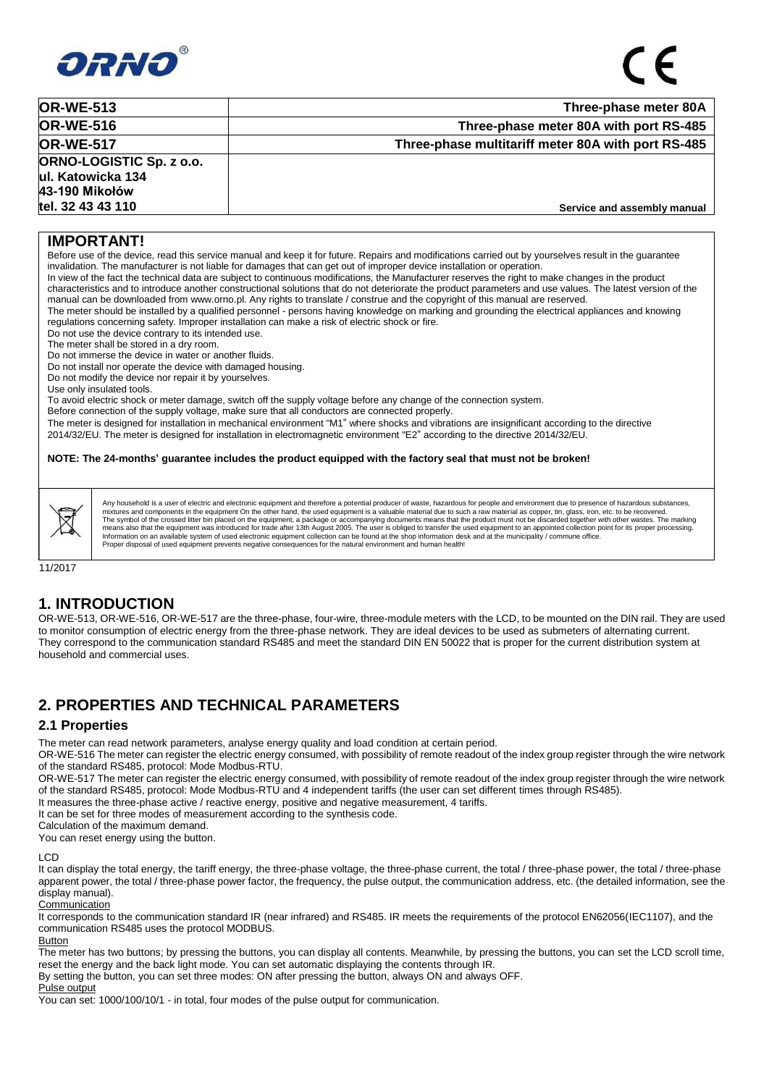

| <b>OR-WE-513</b>                                                       | Three-phase meter 80A                              |
|------------------------------------------------------------------------|----------------------------------------------------|
| <b>OR-WE-516</b>                                                       | Three-phase meter 80A with port RS-485             |
| <b>OR-WE-517</b>                                                       | Three-phase multitariff meter 80A with port RS-485 |
| <b>ORNO-LOGISTIC Sp. z o.o.</b><br>ul. Katowicka 134<br>43-190 Mikołów |                                                    |
| tel. 32 43 43 110                                                      | Service and assembly manual                        |

### **IMPORTANT!**

Before use of the device, read this service manual and keep it for future. Repairs and modifications carried out by yourselves result in the guarantee invalidation. The manufacturer is not liable for damages that can get out of improper device installation or operation.

In view of the fact the technical data are subject to continuous modifications, the Manufacturer reserves the right to make changes in the product characteristics and to introduce another constructional solutions that do not deteriorate the product parameters and use values. The latest version of the manual can be downloaded from [www.orno.pl.](http://www.orno.pl/) Any rights to translate / construe and the copyright of this manual are reserved.

The meter should be installed by a qualified personnel - persons having knowledge on marking and grounding the electrical appliances and knowing regulations concerning safety. Improper installation can make a risk of electric shock or fire.

Do not use the device contrary to its intended use.

The meter shall be stored in a dry room.

Do not immerse the device in water or another fluids.

Do not install nor operate the device with damaged housing.

Do not modify the device nor repair it by yourselves.

Use only insulated tools.

To avoid electric shock or meter damage, switch off the supply voltage before any change of the connection system.

Before connection of the supply voltage, make sure that all conductors are connected properly.

The meter is designed for installation in mechanical environment "M1" where shocks and vibrations are insignificant according to the directive 2014/32/EU. The meter is designed for installation in electromagnetic environment "E2" according to the directive 2014/32/EU.

**NOTE: The 24-months' guarantee includes the product equipped with the factory seal that must not be broken!**

Any household is a user of electric and electronic equipment and therefore a potential producer of waste, hazardous for people and environment due to presence of hazardous substances mixtures and components in the equipment On the other hand, the used equipment is a valuable material due to such a raw material as copper, tin, glass, iron, etc. to be recovered.<br>The symbol of the crossed litter bin place Proper disposal of used equipment prevents negative consequences for the natural environment and human health!

11/2017

### **1. INTRODUCTION**

OR-WE-513, OR-WE-516, OR-WE-517 are the three-phase, four-wire, three-module meters with the LCD, to be mounted on the DIN rail. They are used to monitor consumption of electric energy from the three-phase network. They are ideal devices to be used as submeters of alternating current. They correspond to the communication standard RS485 and meet the standard DIN EN 50022 that is proper for the current distribution system at household and commercial uses.

## **2. PROPERTIES AND TECHNICAL PARAMETERS**

### **2.1 Properties**

The meter can read network parameters, analyse energy quality and load condition at certain period.

OR-WE-516 The meter can register the electric energy consumed, with possibility of remote readout of the index group register through the wire network of the standard RS485, protocol: Mode Modbus-RTU.

OR-WE-517 The meter can register the electric energy consumed, with possibility of remote readout of the index group register through the wire network of the standard RS485, protocol: Mode Modbus-RTU and 4 independent tariffs (the user can set different times through RS485).

It measures the three-phase active / reactive energy, positive and negative measurement, 4 tariffs.

It can be set for three modes of measurement according to the synthesis code.

Calculation of the maximum demand.

You can reset energy using the button.

#### LCD

It can display the total energy, the tariff energy, the three-phase voltage, the three-phase current, the total / three-phase power, the total / three-phase apparent power, the total / three-phase power factor, the frequency, the pulse output, the communication address, etc. (the detailed information, see the display manual).

**Communication** 

It corresponds to the communication standard IR (near infrared) and RS485. IR meets the requirements of the protocol EN62056(IEC1107), and the communication RS485 uses the protocol MODBUS.

Button

The meter has two buttons; by pressing the buttons, you can display all contents. Meanwhile, by pressing the buttons, you can set the LCD scroll time, reset the energy and the back light mode. You can set automatic displaying the contents through IR.

By setting the button, you can set three modes: ON after pressing the button, always ON and always OFF.

Pulse output

You can set: 1000/100/10/1 - in total, four modes of the pulse output for communication.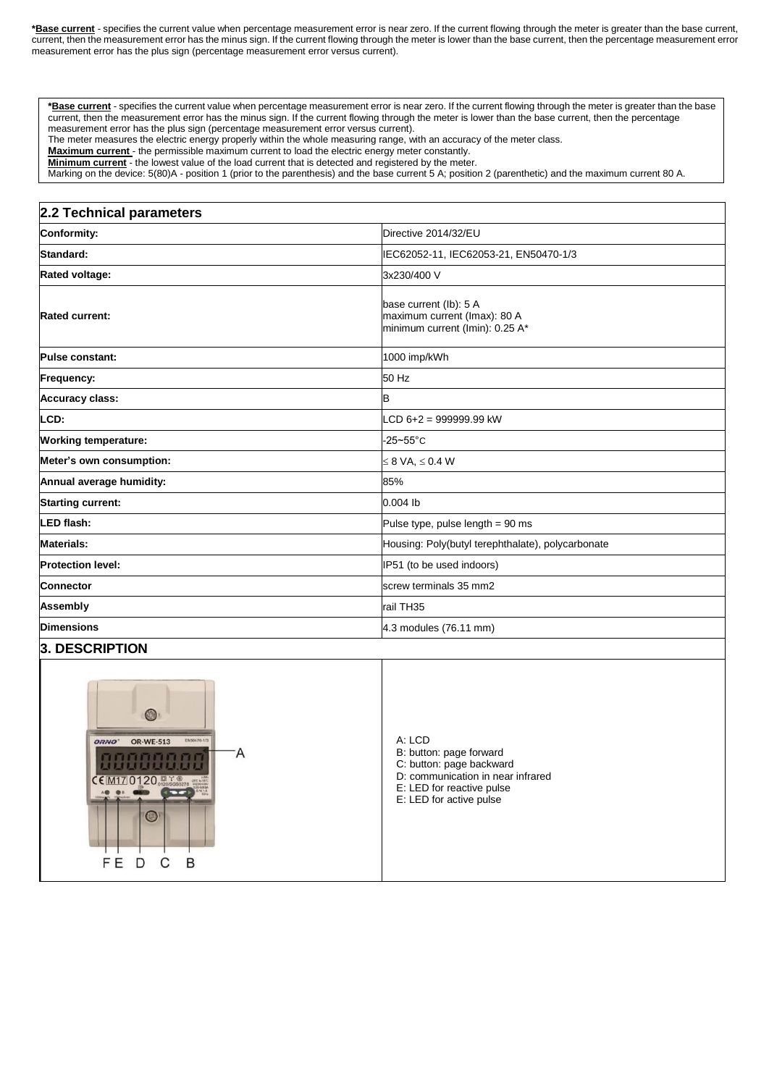**\*Base current** - specifies the current value when percentage measurement error is near zero. If the current flowing through the meter is greater than the base current, current, then the measurement error has the minus sign. If the current flowing through the meter is lower than the base current, then the percentage measurement error measurement error has the plus sign (percentage measurement error versus current).

**\*Base current** - specifies the current value when percentage measurement error is near zero. If the current flowing through the meter is greater than the base current, then the measurement error has the minus sign. If the current flowing through the meter is lower than the base current, then the percentage measurement error has the plus sign (percentage measurement error versus current).

The meter measures the electric energy properly within the whole measuring range, with an accuracy of the meter class.

**Maximum current** - the permissible maximum current to load the electric energy meter constantly.

**Minimum current** - the lowest value of the load current that is detected and registered by the meter.

Marking on the device: 5(80)A - position 1 (prior to the parenthesis) and the base current 5 A; position 2 (parenthetic) and the maximum current 80 A.

#### **2.2 Technical parameters**

| <b>Conformity:</b>          | Directive 2014/32/EU                                                                      |  |  |
|-----------------------------|-------------------------------------------------------------------------------------------|--|--|
| Standard:                   | IEC62052-11, IEC62053-21, EN50470-1/3                                                     |  |  |
| <b>Rated voltage:</b>       | 3x230/400 V                                                                               |  |  |
| <b>Rated current:</b>       | base current (lb): 5 A<br>maximum current (Imax): 80 A<br>minimum current (Imin): 0.25 A* |  |  |
| Pulse constant:             | 1000 imp/kWh                                                                              |  |  |
| Frequency:                  | 50 Hz                                                                                     |  |  |
| <b>Accuracy class:</b>      | в                                                                                         |  |  |
| LCD:                        | $LCD 6+2 = 999999.99$ kW                                                                  |  |  |
| <b>Working temperature:</b> | $-25 - 55$ °C                                                                             |  |  |
| Meter's own consumption:    | $\leq 8$ VA, $\leq 0.4$ W                                                                 |  |  |
| Annual average humidity:    | 85%                                                                                       |  |  |
| <b>Starting current:</b>    | $0.004$ lb                                                                                |  |  |
| LED flash:                  | Pulse type, pulse length $= 90$ ms                                                        |  |  |
| <b>Materials:</b>           | Housing: Poly(butyl terephthalate), polycarbonate                                         |  |  |
| <b>Protection level:</b>    | IP51 (to be used indoors)                                                                 |  |  |
| <b>Connector</b>            | screw terminals 35 mm2                                                                    |  |  |
| <b>Assembly</b>             | rail TH35                                                                                 |  |  |
| <b>Dimensions</b>           | 4.3 modules (76.11 mm)                                                                    |  |  |
|                             |                                                                                           |  |  |

### **3. DESCRIPTION**

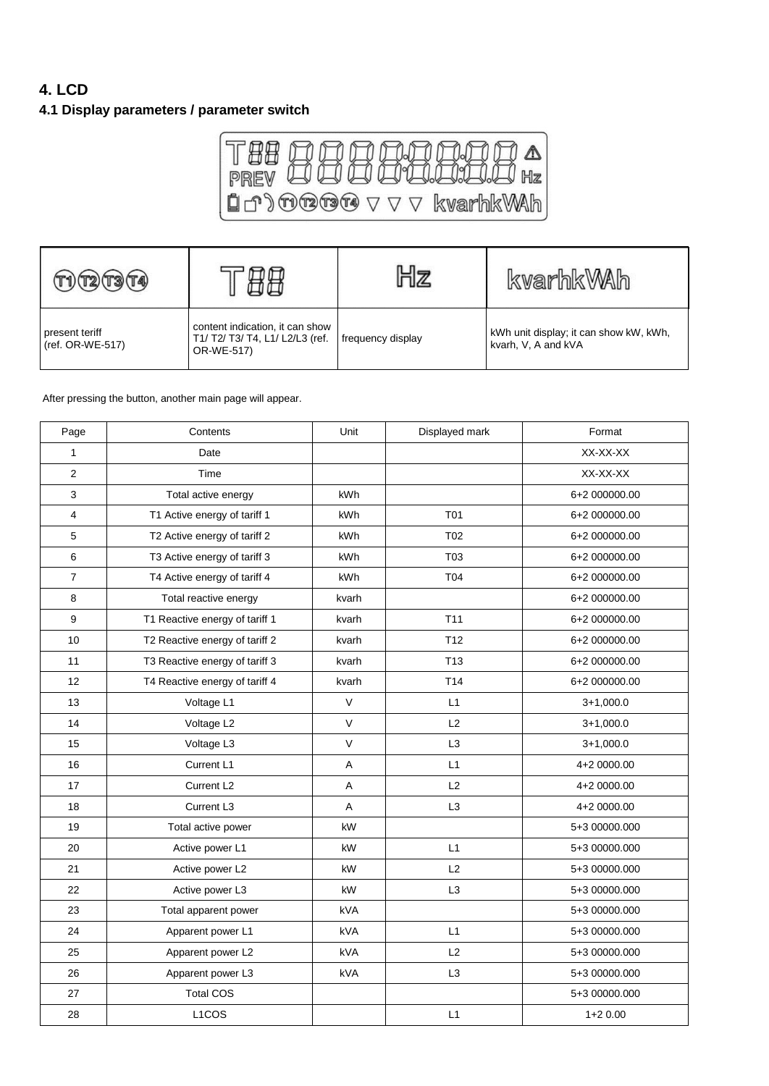# **4. LCD**

## **4.1 Display parameters / parameter switch**



| (T2)(T3)(TA)                       |                                                                                  |                   | kvarhkWAh                                                     |
|------------------------------------|----------------------------------------------------------------------------------|-------------------|---------------------------------------------------------------|
| present teriff<br>(ref. OR-WE-517) | content indication, it can show<br>T1/ T2/ T3/ T4, L1/ L2/L3 (ref.<br>OR-WE-517) | frequency display | kWh unit display; it can show kW, kWh,<br>kvarh, V, A and kVA |

After pressing the button, another main page will appear.

| Page           | Contents                       | Unit       | Displayed mark  | Format        |
|----------------|--------------------------------|------------|-----------------|---------------|
| 1              | Date                           |            |                 | XX-XX-XX      |
| $\overline{2}$ | Time                           |            |                 | XX-XX-XX      |
| 3              | Total active energy            | kWh        |                 | 6+2 000000.00 |
| 4              | T1 Active energy of tariff 1   | kWh        | T <sub>01</sub> | 6+2 000000.00 |
| 5              | T2 Active energy of tariff 2   | kWh        | T <sub>02</sub> | 6+2 000000.00 |
| 6              | T3 Active energy of tariff 3   | kWh        | T <sub>03</sub> | 6+2 000000.00 |
| $\overline{7}$ | T4 Active energy of tariff 4   | kWh        | T04             | 6+2 000000.00 |
| 8              | Total reactive energy          | kvarh      |                 | 6+2 000000.00 |
| 9              | T1 Reactive energy of tariff 1 | kvarh      | T <sub>11</sub> | 6+2 000000.00 |
| 10             | T2 Reactive energy of tariff 2 | kvarh      | T <sub>12</sub> | 6+2 000000.00 |
| 11             | T3 Reactive energy of tariff 3 | kvarh      | T <sub>13</sub> | 6+2 000000.00 |
| 12             | T4 Reactive energy of tariff 4 | kvarh      | T <sub>14</sub> | 6+2 000000.00 |
| 13             | Voltage L1                     | $\vee$     | L1              | $3+1,000.0$   |
| 14             | Voltage L2                     | V          | L2              | $3+1,000.0$   |
| 15             | Voltage L3                     | $\vee$     | L <sub>3</sub>  | $3+1,000.0$   |
| 16             | Current L1                     | A          | L1              | 4+2 0000.00   |
| 17             | Current L <sub>2</sub>         | A          | L2              | 4+2 0000.00   |
| 18             | Current L3                     | A          | L <sub>3</sub>  | 4+2 0000.00   |
| 19             | Total active power             | kW         |                 | 5+3 00000.000 |
| 20             | Active power L1                | kW         | L1              | 5+3 00000.000 |
| 21             | Active power L2                | kW         | L2              | 5+3 00000.000 |
| 22             | Active power L3                | kW         | L <sub>3</sub>  | 5+3 00000.000 |
| 23             | Total apparent power           | <b>kVA</b> |                 | 5+3 00000.000 |
| 24             | Apparent power L1              | <b>kVA</b> | L1              | 5+3 00000.000 |
| 25             | Apparent power L2              | <b>kVA</b> | L2              | 5+3 00000.000 |
| 26             | Apparent power L3              | kVA        | L <sub>3</sub>  | 5+3 00000.000 |
| 27             | <b>Total COS</b>               |            |                 | 5+3 00000.000 |
| 28             | L <sub>1</sub> CO <sub>S</sub> |            | L1              | $1+20.00$     |